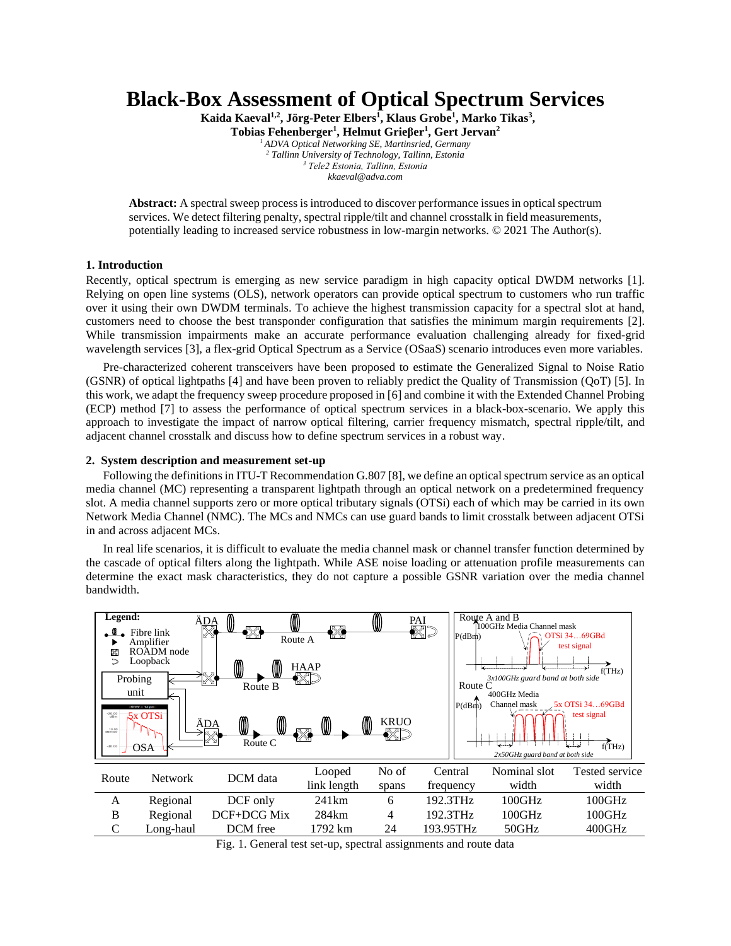# **Black-Box Assessment of Optical Spectrum Services**

**Kaida Kaeval1,2 , Jörg-Peter Elbers<sup>1</sup> , Klaus Grobe<sup>1</sup> , Marko Tikas<sup>3</sup> ,** 

**Tobias Fehenberger<sup>1</sup> , Helmut Grieβer<sup>1</sup> , Gert Jervan<sup>2</sup>**

*ADVA Optical Networking SE, Martinsried, Germany Tallinn University of Technology, Tallinn, Estonia Tele2 Estonia, Tallinn, Estonia kkaeval@adva.com*

**Abstract:** A spectral sweep process is introduced to discover performance issues in optical spectrum services. We detect filtering penalty, spectral ripple/tilt and channel crosstalk in field measurements, potentially leading to increased service robustness in low-margin networks. © 2021 The Author(s).

## **1. Introduction**

Recently, optical spectrum is emerging as new service paradigm in high capacity optical DWDM networks [1]. Relying on open line systems (OLS), network operators can provide optical spectrum to customers who run traffic over it using their own DWDM terminals. To achieve the highest transmission capacity for a spectral slot at hand, customers need to choose the best transponder configuration that satisfies the minimum margin requirements [2]. While transmission impairments make an accurate performance evaluation challenging already for fixed-grid wavelength services [3], a flex-grid Optical Spectrum as a Service (OSaaS) scenario introduces even more variables.

Pre-characterized coherent transceivers have been proposed to estimate the Generalized Signal to Noise Ratio (GSNR) of optical lightpaths [4] and have been proven to reliably predict the Quality of Transmission (QoT) [5]. In this work, we adapt the frequency sweep procedure proposed in [6] and combine it with the Extended Channel Probing (ECP) method [7] to assess the performance of optical spectrum services in a black-box-scenario. We apply this approach to investigate the impact of narrow optical filtering, carrier frequency mismatch, spectral ripple/tilt, and adjacent channel crosstalk and discuss how to define spectrum services in a robust way.

### **2. System description and measurement set-up**

Following the definitions in ITU-T Recommendation G.807 [8], we define an optical spectrum service as an optical media channel (MC) representing a transparent lightpath through an optical network on a predetermined frequency slot. A media channel supports zero or more optical tributary signals (OTSi) each of which may be carried in its own Network Media Channel (NMC). The MCs and NMCs can use guard bands to limit crosstalk between adjacent OTSi in and across adjacent MCs.

In real life scenarios, it is difficult to evaluate the media channel mask or channel transfer function determined by the cascade of optical filters along the lightpath. While ASE noise loading or attenuation profile measurements can determine the exact mask characteristics, they do not capture a possible GSNR variation over the media channel bandwidth.

| Legend:<br>X<br>Probing<br>unit<br>$-20.00$<br>dBm<br>$10.00$<br>dBm/div<br>$-40.00$ | Fibre link<br>Amplifier<br>ROADM node<br>Loopback<br>$RBW = 14$ pm<br>5x OTSi<br><b>OSA</b> | ⋓<br>$^{\circ}$<br>ÄDA<br>▧<br>$\boxtimes$<br>0<br>₪<br>Route B<br>$^{\circledR}$<br>⋓<br>ÄDA<br>Route C | ▩<br>Route A<br><b>HAAP</b><br>ক্ষ<br>◍<br>◍<br>▧ | ⋓<br><b>KRUO</b><br>™∠সা≈ | PAI<br>▧ | P(dBm)<br>Route C<br>P(dBm) | Route A and B<br>100GHz Media Channel mask<br>3x100GHz guard band at both side<br>400GHz Media<br>Channel mask<br>$2x50GHz$ guard band at both side | OTSi 3469GBd<br>test signal<br>f(THz)<br>5x OTSi 3469GBd<br>test signal<br>حساسها<br>f(THz) |
|--------------------------------------------------------------------------------------|---------------------------------------------------------------------------------------------|----------------------------------------------------------------------------------------------------------|---------------------------------------------------|---------------------------|----------|-----------------------------|-----------------------------------------------------------------------------------------------------------------------------------------------------|---------------------------------------------------------------------------------------------|
| Route                                                                                | <b>Network</b>                                                                              | DCM data                                                                                                 | Looped<br>link length                             | No of<br>spans            |          | Central<br>frequency        | Nominal slot<br>width                                                                                                                               | <b>Tested service</b><br>width                                                              |
| A                                                                                    | Regional                                                                                    | DCF only                                                                                                 | 241km                                             | 6                         |          | 192.3THz                    | 100GHz                                                                                                                                              | 100GHz                                                                                      |
| B                                                                                    | Regional                                                                                    | DCF+DCG Mix                                                                                              | 284km                                             | 4                         |          | 192.3THz                    | 100GHz                                                                                                                                              | 100GHz                                                                                      |
|                                                                                      | Long-haul                                                                                   | DCM free                                                                                                 | 1792 km                                           | 24                        |          | 193.95THz                   | 50GHz                                                                                                                                               | 400GHz                                                                                      |

Fig. 1. General test set-up, spectral assignments and route data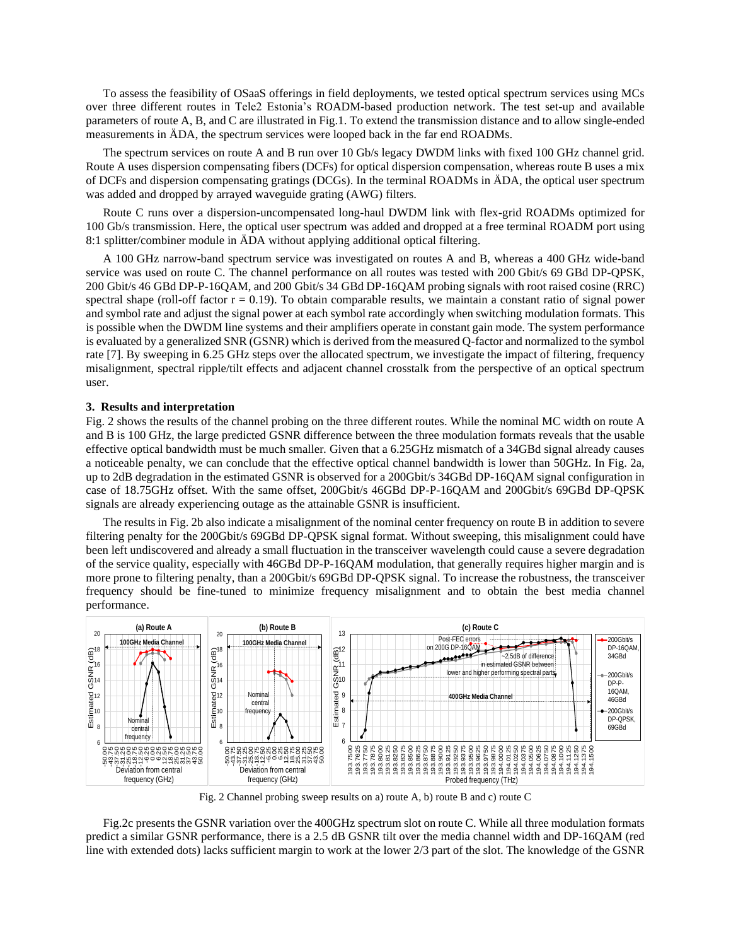To assess the feasibility of OSaaS offerings in field deployments, we tested optical spectrum services using MCs over three different routes in Tele2 Estonia's ROADM-based production network. The test set-up and available parameters of route A, B, and C are illustrated in Fig.1. To extend the transmission distance and to allow single-ended measurements in ÄDA, the spectrum services were looped back in the far end ROADMs.

The spectrum services on route A and B run over 10 Gb/s legacy DWDM links with fixed 100 GHz channel grid. Route A uses dispersion compensating fibers (DCFs) for optical dispersion compensation, whereas route B uses a mix of DCFs and dispersion compensating gratings (DCGs). In the terminal ROADMs in ÄDA, the optical user spectrum was added and dropped by arrayed waveguide grating (AWG) filters.

Route C runs over a dispersion-uncompensated long-haul DWDM link with flex-grid ROADMs optimized for 100 Gb/s transmission. Here, the optical user spectrum was added and dropped at a free terminal ROADM port using 8:1 splitter/combiner module in ÄDA without applying additional optical filtering.

A 100 GHz narrow-band spectrum service was investigated on routes A and B, whereas a 400 GHz wide-band service was used on route C. The channel performance on all routes was tested with 200 Gbit/s 69 GBd DP-QPSK, 200 Gbit/s 46 GBd DP-P-16QAM, and 200 Gbit/s 34 GBd DP-16QAM probing signals with root raised cosine (RRC) spectral shape (roll-off factor  $r = 0.19$ ). To obtain comparable results, we maintain a constant ratio of signal power and symbol rate and adjust the signal power at each symbol rate accordingly when switching modulation formats. This is possible when the DWDM line systems and their amplifiers operate in constant gain mode. The system performance is evaluated by a generalized SNR (GSNR) which is derived from the measured Q-factor and normalized to the symbol rate [7]. By sweeping in 6.25 GHz steps over the allocated spectrum, we investigate the impact of filtering, frequency misalignment, spectral ripple/tilt effects and adjacent channel crosstalk from the perspective of an optical spectrum user.

#### **3. Results and interpretation**

Fig. 2 shows the results of the channel probing on the three different routes. While the nominal MC width on route A and B is 100 GHz, the large predicted GSNR difference between the three modulation formats reveals that the usable effective optical bandwidth must be much smaller*.* Given that a 6.25GHz mismatch of a 34GBd signal already causes a noticeable penalty, we can conclude that the effective optical channel bandwidth is lower than 50GHz. In Fig. 2a, up to 2dB degradation in the estimated GSNR is observed for a 200Gbit/s 34GBd DP-16QAM signal configuration in case of 18.75GHz offset. With the same offset, 200Gbit/s 46GBd DP-P-16QAM and 200Gbit/s 69GBd DP-QPSK signals are already experiencing outage as the attainable GSNR is insufficient.

The results in Fig. 2b also indicate a misalignment of the nominal center frequency on route B in addition to severe filtering penalty for the 200Gbit/s 69GBd DP-QPSK signal format. Without sweeping, this misalignment could have been left undiscovered and already a small fluctuation in the transceiver wavelength could cause a severe degradation of the service quality, especially with 46GBd DP-P-16QAM modulation, that generally requires higher margin and is more prone to filtering penalty, than a 200Gbit/s 69GBd DP-QPSK signal. To increase the robustness, the transceiver frequency should be fine-tuned to minimize frequency misalignment and to obtain the best media channel performance.



Fig. 2 Channel probing sweep results on a) route A, b) route B and c) route C

Fig.2c presents the GSNR variation over the 400GHz spectrum slot on route C. While all three modulation formats predict a similar GSNR performance, there is a 2.5 dB GSNR tilt over the media channel width and DP-16QAM (red line with extended dots) lacks sufficient margin to work at the lower 2/3 part of the slot. The knowledge of the GSNR